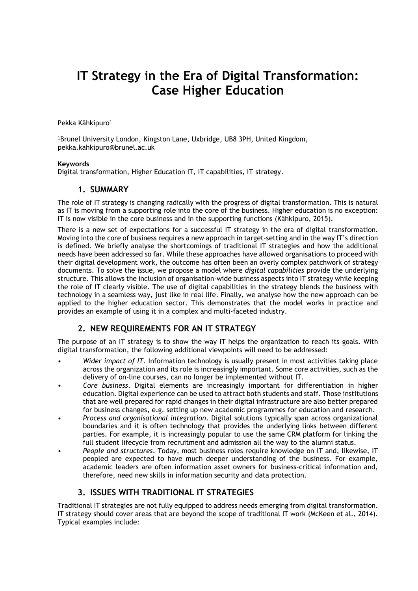# **IT Strategy in the Era of Digital Transformation: Case Higher Education**

Pekka Kähkipuro<sup>1</sup>

<sup>1</sup>Brunel University London, Kingston Lane, Uxbridge, UB8 3PH, United Kingdom, pekka.kahkipuro@brunel.ac.uk

#### **Keywords**

Digital transformation, Higher Education IT, IT capabilities, IT strategy.

#### **1. SUMMARY**

The role of IT strategy is changing radically with the progress of digital transformation. This is natural as IT is moving from a supporting role into the core of the business. Higher education is no exception: IT is now visible in the core business and in the supporting functions (Kähkipuro, 2015).

There is a new set of expectations for a successful IT strategy in the era of digital transformation. Moving into the core of business requires a new approach in target-setting and in the way IT's direction is defined. We briefly analyse the shortcomings of traditional IT strategies and how the additional needs have been addressed so far. While these approaches have allowed organisations to proceed with their digital development work, the outcome has often been an overly complex patchwork of strategy documents. To solve the issue, we propose a model where *digital capabilities* provide the underlying structure. This allows the inclusion of organisation-wide business aspects into IT strategy while keeping the role of IT clearly visible. The use of digital capabilities in the strategy blends the business with technology in a seamless way, just like in real life. Finally, we analyse how the new approach can be applied to the higher education sector. This demonstrates that the model works in practice and provides an example of using it in a complex and multi-faceted industry.

# **2. NEW REQUIREMENTS FOR AN IT STRATEGY**

The purpose of an IT strategy is to show the way IT helps the organization to reach its goals. With digital transformation, the following additional viewpoints will need to be addressed:

- *Wider impact of IT*. Information technology is usually present in most activities taking place across the organization and its role is increasingly important. Some core activities, such as the delivery of on-line courses, can no longer be implemented without IT.
- *Core business*. Digital elements are increasingly important for differentiation in higher education. Digital experience can be used to attract both students and staff. Those institutions that are well prepared for rapid changes in their digital infrastructure are also better prepared for business changes, e.g. setting up new academic programmes for education and research.
- *Process and organisational integration*. Digital solutions typically span across organizational boundaries and it is often technology that provides the underlying links between different parties. For example, it is increasingly popular to use the same CRM platform for linking the full student lifecycle from recruitment and admission all the way to the alumni status.
- *People and structures*. Today, most business roles require knowledge on IT and, likewise, IT peopled are expected to have much deeper understanding of the business. For example, academic leaders are often information asset owners for business-critical information and, therefore, need new skills in information security and data protection.

# **3. ISSUES WITH TRADITIONAL IT STRATEGIES**

Traditional IT strategies are not fully equipped to address needs emerging from digital transformation. IT strategy should cover areas that are beyond the scope of traditional IT work (McKeen et al., 2014). Typical examples include: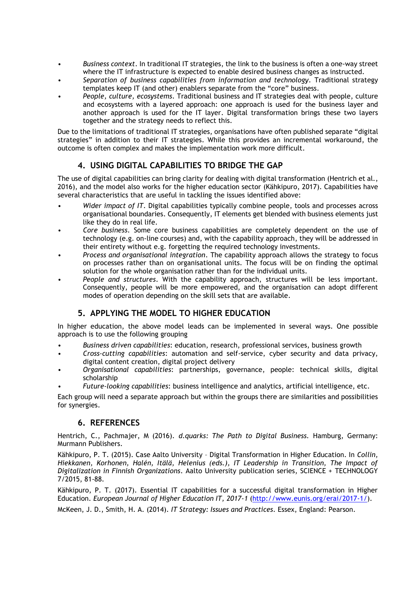- *Business context*. In traditional IT strategies, the link to the business is often a one-way street where the IT infrastructure is expected to enable desired business changes as instructed.
- *Separation of business capabilities from information and technology*. Traditional strategy templates keep IT (and other) enablers separate from the "core" business.
- *People, culture, ecosystems*. Traditional business and IT strategies deal with people, culture and ecosystems with a layered approach: one approach is used for the business layer and another approach is used for the IT layer. Digital transformation brings these two layers together and the strategy needs to reflect this.

Due to the limitations of traditional IT strategies, organisations have often published separate "digital strategies" in addition to their IT strategies. While this provides an incremental workaround, the outcome is often complex and makes the implementation work more difficult.

# **4. USING DIGITAL CAPABILITIES TO BRIDGE THE GAP**

The use of digital capabilities can bring clarity for dealing with digital transformation (Hentrich et al., 2016), and the model also works for the higher education sector (Kähkipuro, 2017). Capabilities have several characteristics that are useful in tackling the issues identified above:

- *Wider impact of IT*. Digital capabilities typically combine people, tools and processes across organisational boundaries. Consequently, IT elements get blended with business elements just like they do in real life.
- *Core business*. Some core business capabilities are completely dependent on the use of technology (e.g. on-line courses) and, with the capability approach, they will be addressed in their entirety without e.g. forgetting the required technology investments.
- *Process and organisational integration*. The capability approach allows the strategy to focus on processes rather than on organisational units. The focus will be on finding the optimal solution for the whole organisation rather than for the individual units.
- *People and structures*. With the capability approach, structures will be less important. Consequently, people will be more empowered, and the organisation can adopt different modes of operation depending on the skill sets that are available.

## **5. APPLYING THE MODEL TO HIGHER EDUCATION**

In higher education, the above model leads can be implemented in several ways. One possible approach is to use the following grouping

- *Business driven capabilities*: education, research, professional services, business growth
- *Cross-cutting capabilities*: automation and self-service, cyber security and data privacy, digital content creation, digital project delivery
- *Organisational capabilities*: partnerships, governance, people: technical skills, digital scholarship
- *Future-looking capabilities*: business intelligence and analytics, artificial intelligence, etc.

Each group will need a separate approach but within the groups there are similarities and possibilities for synergies.

## **6. REFERENCES**

Hentrich, C., Pachmajer, M (2016). *d.quarks: The Path to Digital Business.* Hamburg, Germany: Murmann Publishers.

Kähkipuro, P. T. (2015). Case Aalto University – Digital Transformation in Higher Education. In *Collin, Hiekkanen, Korhonen, Halén, Itälä, Helenius (eds.), IT Leadership in Transition, The Impact of Digitalization in Finnish Organizations*. Aalto University publication series, SCIENCE + TECHNOLOGY 7/2015, 81-88.

Kähkipuro, P. T. (2017). Essential IT capabilities for a successful digital transformation in Higher Education. *European Journal of Higher Education IT, 2017-1* [\(http://www.eunis.org/erai/2017-1/\)](http://www.eunis.org/erai/2017-1/).

McKeen, J. D., Smith, H. A. (2014). *IT Strategy: Issues and Practices*. Essex, England: Pearson.